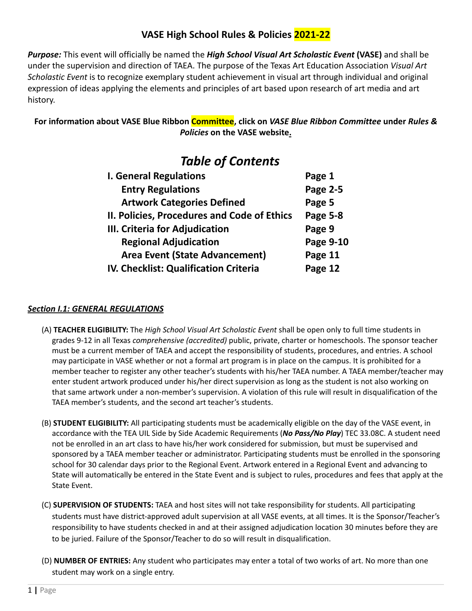# **VASE High School Rules & Policies 2021-22**

*Purpose:* This event will officially be named the *High School Visual Art Scholastic Event* **(VASE)** and shall be under the supervision and direction of TAEA. The purpose of the Texas Art Education Association *Visual Art Scholastic Event* is to recognize exemplary student achievement in visual art through individual and original expression of ideas applying the elements and principles of art based upon research of art media and art history.

# **For information about VASE Blue Ribbon Committee, click on** *VASE Blue Ribbon Committee* **under** *Rules & Policies* **on the VASE website.**

# *Table of Contents*

| <b>I. General Regulations</b>                | Page 1          |
|----------------------------------------------|-----------------|
| <b>Entry Regulations</b>                     | <b>Page 2-5</b> |
| <b>Artwork Categories Defined</b>            | Page 5          |
| II. Policies, Procedures and Code of Ethics  | Page 5-8        |
| III. Criteria for Adjudication               | Page 9          |
| <b>Regional Adjudication</b>                 | Page 9-10       |
| <b>Area Event (State Advancement)</b>        | Page 11         |
| <b>IV. Checklist: Qualification Criteria</b> | Page 12         |

# *Section I.1: GENERAL REGULATIONS*

- (A) **TEACHER ELIGIBILITY:** The *High School Visual Art Scholastic Event* shall be open only to full time students in grades 9-12 in all Texas *comprehensive (accredited)* public, private, charter or homeschools. The sponsor teacher must be a current member of TAEA and accept the responsibility of students, procedures, and entries. A school may participate in VASE whether or not a formal art program is in place on the campus. It is prohibited for a member teacher to register any other teacher's students with his/her TAEA number. A TAEA member/teacher may enter student artwork produced under his/her direct supervision as long as the student is not also working on that same artwork under a non-member's supervision. A violation of this rule will result in disqualification of the TAEA member's students, and the second art teacher's students.
- (B) **STUDENT ELIGIBILITY:** All participating students must be academically eligible on the day of the VASE event, in accordance with the TEA UIL Side by Side Academic Requirements (*No Pass/No Play*) TEC 33.08C. A student need not be enrolled in an art class to have his/her work considered for submission, but must be supervised and sponsored by a TAEA member teacher or administrator. Participating students must be enrolled in the sponsoring school for 30 calendar days prior to the Regional Event. Artwork entered in a Regional Event and advancing to State will automatically be entered in the State Event and is subject to rules, procedures and fees that apply at the State Event.
- (C) **SUPERVISION OF STUDENTS:** TAEA and host sites will not take responsibility for students. All participating students must have district-approved adult supervision at all VASE events, at all times. It is the Sponsor/Teacher's responsibility to have students checked in and at their assigned adjudication location 30 minutes before they are to be juried. Failure of the Sponsor/Teacher to do so will result in disqualification.
- (D) **NUMBER OF ENTRIES:** Any student who participates may enter a total of two works of art. No more than one student may work on a single entry.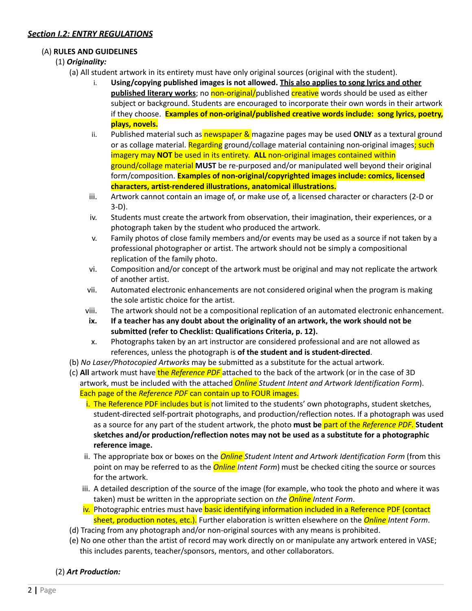## *Section I.2: ENTRY REGULATIONS*

#### (A) **RULES AND GUIDELINES**

## (1) *Originality:*

- (a) All student artwork in its entirety must have only original sources (original with the student).
	- i. **Using/copying published images is not allowed. This also applies to song lyrics and other published literary works**; no non-original/published creative words should be used as either subject or background. Students are encouraged to incorporate their own words in their artwork if they choose. **Examples of non-original/published creative words include: song lyrics, poetry, plays, novels.**
	- ii. Published material such as **newspaper &** magazine pages may be used **ONLY** as a textural ground or as collage material. Regarding ground/collage material containing non-original images; such imagery may **NOT** be used in its entirety. **ALL** non-original images contained within ground/collage material **MUST** be re-purposed and/or manipulated well beyond their original form/composition. **Examples of non-original/copyrighted images include: comics, licensed characters, artist-rendered illustrations, anatomical illustrations.**
	- iii. Artwork cannot contain an image of, or make use of, a licensed character or characters (2-D or 3-D).
	- iv. Students must create the artwork from observation, their imagination, their experiences, or a photograph taken by the student who produced the artwork.
	- v. Family photos of close family members and/or events may be used as a source if not taken by a professional photographer or artist. The artwork should not be simply a compositional replication of the family photo.
	- vi. Composition and/or concept of the artwork must be original and may not replicate the artwork of another artist.
	- vii. Automated electronic enhancements are not considered original when the program is making the sole artistic choice for the artist.
	- viii. The artwork should not be a compositional replication of an automated electronic enhancement.
	- **ix. If a teacher has any doubt about the originality of an artwork, the work should not be submitted (refer to Checklist: Qualifications Criteria, p. 12).**
	- x. Photographs taken by an art instructor are considered professional and are not allowed as references, unless the photograph is **of the student and is student-directed**.
- (b) *No Laser/Photocopied Artworks* may be submitted as a substitute for the actual artwork.
- (c) All artwork must have the *Reference PDF* attached to the back of the artwork (or in the case of 3D artwork, must be included with the attached *Online Student Intent and Artwork Identification Form*). Each page of the *Reference PDF* can contain up to FOUR images.
	- i. The Reference PDF includes but is not limited to the students' own photographs, student sketches, student-directed self-portrait photographs, and production/reflection notes. If a photograph was used as a source for any part of the student artwork, the photo **must be** part of the *Reference PDF*. **Student sketches and/or production/reflection notes may not be used as a substitute for a photographic reference image.**
	- ii. The appropriate box or boxes on the *Online Student Intent and Artwork Identification Form* (from this point on may be referred to as the *Online Intent Form*) must be checked citing the source or sources for the artwork.
	- iii. A detailed description of the source of the image (for example, who took the photo and where it was taken) must be written in the appropriate section on *the Online Intent Form*.
	- iv. Photographic entries must have basic identifying information included in a Reference PDF (contact sheet, production notes, etc.). Further elaboration is written elsewhere on the *Online Intent Form*.
- (d) Tracing from any photograph and/or non-original sources with any means is prohibited.
- (e) No one other than the artist of record may work directly on or manipulate any artwork entered in VASE; this includes parents, teacher/sponsors, mentors, and other collaborators.

#### (2) *Art Production:*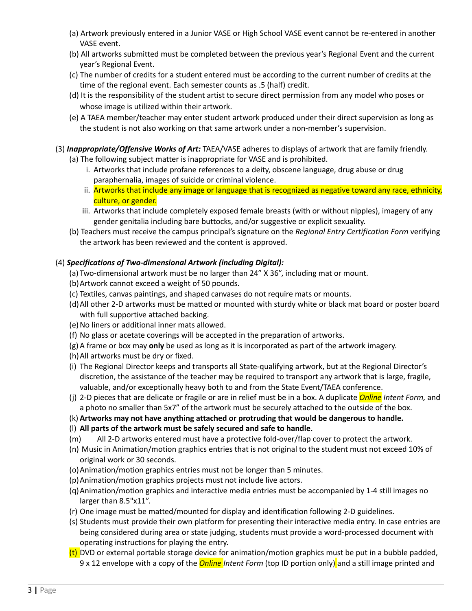- (a) Artwork previously entered in a Junior VASE or High School VASE event cannot be re-entered in another VASE event.
- (b) All artworks submitted must be completed between the previous year's Regional Event and the current year's Regional Event.
- (c) The number of credits for a student entered must be according to the current number of credits at the time of the regional event. Each semester counts as .5 (half) credit.
- (d) It is the responsibility of the student artist to secure direct permission from any model who poses or whose image is utilized within their artwork.
- (e) A TAEA member/teacher may enter student artwork produced under their direct supervision as long as the student is not also working on that same artwork under a non-member's supervision.

# (3) *Inappropriate/Offensive Works of Art:* TAEA/VASE adheres to displays of artwork that are family friendly.

- (a) The following subject matter is inappropriate for VASE and is prohibited.
	- i. Artworks that include profane references to a deity, obscene language, drug abuse or drug paraphernalia, images of suicide or criminal violence.
	- ii. Artworks that include any image or language that is recognized as negative toward any race, ethnicity, culture, or gender.
	- iii. Artworks that include completely exposed female breasts (with or without nipples), imagery of any gender genitalia including bare buttocks, and/or suggestive or explicit sexuality.
- (b) Teachers must receive the campus principal's signature on the *Regional Entry Certification Form* verifying the artwork has been reviewed and the content is approved.

## (4) *Specifications of Two-dimensional Artwork (including Digital):*

- (a) Two-dimensional artwork must be no larger than 24" X 36", including mat or mount.
- (b)Artwork cannot exceed a weight of 50 pounds.
- (c) Textiles, canvas paintings, and shaped canvases do not require mats or mounts.
- (d)All other 2-D artworks must be matted or mounted with sturdy white or black mat board or poster board with full supportive attached backing.
- (e)No liners or additional inner mats allowed.
- (f) No glass or acetate coverings will be accepted in the preparation of artworks.
- (g) A frame or box may **only** be used as long as it is incorporated as part of the artwork imagery.
- (h)All artworks must be dry or fixed.
- (i) The Regional Director keeps and transports all State-qualifying artwork, but at the Regional Director's discretion, the assistance of the teacher may be required to transport any artwork that is large, fragile, valuable, and/or exceptionally heavy both to and from the State Event/TAEA conference.
- (j) 2-D pieces that are delicate or fragile or are in relief must be in a box. A duplicate *Online Intent Form,* and a photo no smaller than 5x7" of the artwork must be securely attached to the outside of the box.
- (k) **Artworks may not have anything attached or protruding that would be dangerous to handle.**
- (l) **All parts of the artwork must be safely secured and safe to handle.**
- (m) All 2-D artworks entered must have a protective fold-over/flap cover to protect the artwork.
- (n) Music in Animation/motion graphics entries that is not original to the student must not exceed 10% of original work or 30 seconds.
- (o)Animation/motion graphics entries must not be longer than 5 minutes.
- (p)Animation/motion graphics projects must not include live actors.
- (q)Animation/motion graphics and interactive media entries must be accompanied by 1-4 still images no larger than 8.5"x11".
- (r) One image must be matted/mounted for display and identification following 2-D guidelines.
- (s) Students must provide their own platform for presenting their interactive media entry. In case entries are being considered during area or state judging, students must provide a word-processed document with operating instructions for playing the entry.
- $(t)$  DVD or external portable storage device for animation/motion graphics must be put in a bubble padded, 9 x 12 envelope with a copy of the *Online Intent Form* (top ID portion only) and a still image printed and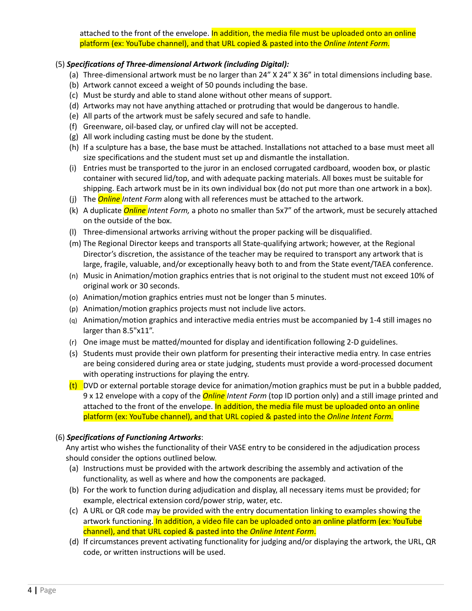attached to the front of the envelope. In addition, the media file must be uploaded onto an online platform (ex: YouTube channel), and that URL copied & pasted into the *Online Intent Form.*

#### (5) *Specifications of Three-dimensional Artwork (including Digital):*

- (a) Three-dimensional artwork must be no larger than 24" X 24" X 36" in total dimensions including base.
- (b) Artwork cannot exceed a weight of 50 pounds including the base.
- (c) Must be sturdy and able to stand alone without other means of support.
- (d) Artworks may not have anything attached or protruding that would be dangerous to handle.
- (e) All parts of the artwork must be safely secured and safe to handle.
- (f) Greenware, oil-based clay, or unfired clay will not be accepted.
- (g) All work including casting must be done by the student.
- (h) If a sculpture has a base, the base must be attached. Installations not attached to a base must meet all size specifications and the student must set up and dismantle the installation.
- (i) Entries must be transported to the juror in an enclosed corrugated cardboard, wooden box, or plastic container with secured lid/top, and with adequate packing materials. All boxes must be suitable for shipping. Each artwork must be in its own individual box (do not put more than one artwork in a box).
- (j) The *Online Intent Form* along with all references must be attached to the artwork.
- (k) A duplicate *Online Intent Form,* a photo no smaller than 5x7" of the artwork, must be securely attached on the outside of the box.
- (l) Three-dimensional artworks arriving without the proper packing will be disqualified.
- (m) The Regional Director keeps and transports all State-qualifying artwork; however, at the Regional Director's discretion, the assistance of the teacher may be required to transport any artwork that is large, fragile, valuable, and/or exceptionally heavy both to and from the State event/TAEA conference.
- (n) Music in Animation/motion graphics entries that is not original to the student must not exceed 10% of original work or 30 seconds.
- (o) Animation/motion graphics entries must not be longer than 5 minutes.
- (p) Animation/motion graphics projects must not include live actors.
- (q) Animation/motion graphics and interactive media entries must be accompanied by 1-4 still images no larger than 8.5"x11".
- (r) One image must be matted/mounted for display and identification following 2-D guidelines.
- (s) Students must provide their own platform for presenting their interactive media entry. In case entries are being considered during area or state judging, students must provide a word-processed document with operating instructions for playing the entry.
- (t) DVD or external portable storage device for animation/motion graphics must be put in a bubble padded, 9 x 12 envelope with a copy of the *Online Intent Form* (top ID portion only) and a still image printed and attached to the front of the envelope. In addition, the media file must be uploaded onto an online platform (ex: YouTube channel), and that URL copied & pasted into the *Online Intent Form.*

#### (6) *Specifications of Functioning Artworks*:

Any artist who wishes the functionality of their VASE entry to be considered in the adjudication process should consider the options outlined below.

- (a) Instructions must be provided with the artwork describing the assembly and activation of the functionality, as well as where and how the components are packaged.
- (b) For the work to function during adjudication and display, all necessary items must be provided; for example, electrical extension cord/power strip, water, etc.
- (c) A URL or QR code may be provided with the entry documentation linking to examples showing the artwork functioning. In addition, a video file can be uploaded onto an online platform (ex: YouTube channel), and that URL copied & pasted into the *Online Intent Form*.
- (d) If circumstances prevent activating functionality for judging and/or displaying the artwork, the URL, QR code, or written instructions will be used.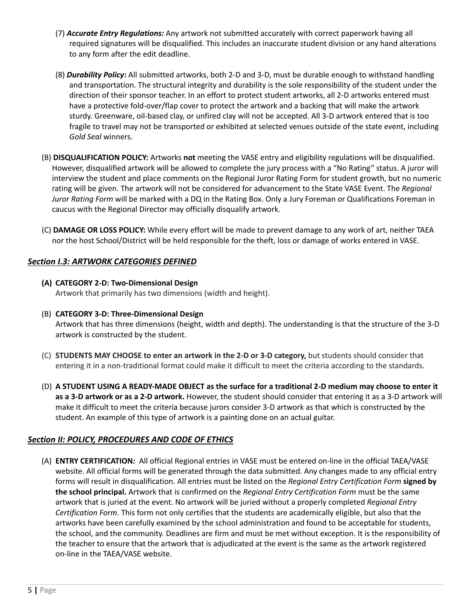- (7) *Accurate Entry Regulations:* Any artwork not submitted accurately with correct paperwork having all required signatures will be disqualified. This includes an inaccurate student division or any hand alterations to any form after the edit deadline.
- (8) *Durability Policy***:** All submitted artworks, both 2-D and 3-D, must be durable enough to withstand handling and transportation. The structural integrity and durability is the sole responsibility of the student under the direction of their sponsor teacher. In an effort to protect student artworks, all 2-D artworks entered must have a protective fold-over/flap cover to protect the artwork and a backing that will make the artwork sturdy. Greenware, oil-based clay, or unfired clay will not be accepted. All 3-D artwork entered that is too fragile to travel may not be transported or exhibited at selected venues outside of the state event, including *Gold Seal* winners.
- (B) **DISQUALIFICATION POLICY:** Artworks **not** meeting the VASE entry and eligibility regulations will be disqualified. However, disqualified artwork will be allowed to complete the jury process with a "No Rating" status. A juror will interview the student and place comments on the Regional Juror Rating Form for student growth, but no numeric rating will be given. The artwork will not be considered for advancement to the State VASE Event. The *Regional Juror Rating Form* will be marked with a DQ in the Rating Box. Only a Jury Foreman or Qualifications Foreman in caucus with the Regional Director may officially disqualify artwork.
- (C) **DAMAGE OR LOSS POLICY:** While every effort will be made to prevent damage to any work of art, neither TAEA nor the host School/District will be held responsible for the theft, loss or damage of works entered in VASE.

#### *Section I.3: ARTWORK CATEGORIES DEFINED*

- **(A) CATEGORY 2-D: Two-Dimensional Design** Artwork that primarily has two dimensions (width and height).
- (B) **CATEGORY 3-D: Three-Dimensional Design** Artwork that has three dimensions (height, width and depth). The understanding is that the structure of the 3-D artwork is constructed by the student.
- (C) **STUDENTS MAY CHOOSE to enter an artwork in the 2-D or 3-D category,** but students should consider that entering it in a non-traditional format could make it difficult to meet the criteria according to the standards.
- (D) A STUDENT USING A READY-MADE OBJECT as the surface for a traditional 2-D medium may choose to enter it **as a 3-D artwork or as a 2-D artwork.** However, the student should consider that entering it as a 3-D artwork will make it difficult to meet the criteria because jurors consider 3-D artwork as that which is constructed by the student. An example of this type of artwork is a painting done on an actual guitar.

# *Section II: POLICY, PROCEDURES AND CODE OF ETHICS*

(A) **ENTRY CERTIFICATION***:* All official Regional entries in VASE must be entered on-line in the official TAEA/VASE website. All official forms will be generated through the data submitted. Any changes made to any official entry forms will result in disqualification. All entries must be listed on the *Regional Entry Certification Form* **signed by the school principal.** Artwork that is confirmed on the *Regional Entry Certification Form* must be the same artwork that is juried at the event. No artwork will be juried without a properly completed *Regional Entry Certification Form*. This form not only certifies that the students are academically eligible, but also that the artworks have been carefully examined by the school administration and found to be acceptable for students, the school, and the community. Deadlines are firm and must be met without exception. It is the responsibility of the teacher to ensure that the artwork that is adjudicated at the event is the same as the artwork registered on-line in the TAEA/VASE website.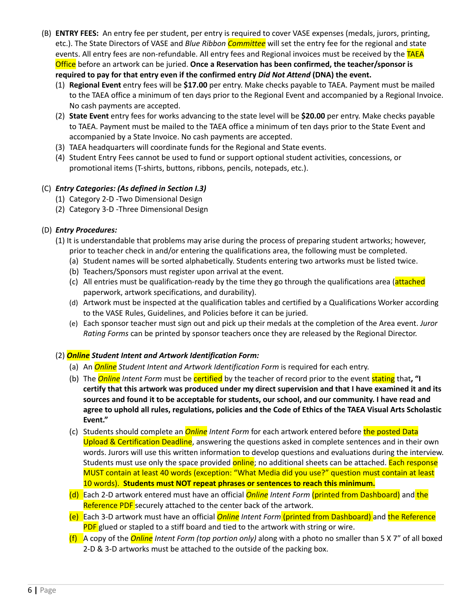- (B) **ENTRY FEES:** An entry fee per student, per entry is required to cover VASE expenses (medals, jurors, printing, etc.). The State Directors of VASE and *Blue Ribbon Committee* will set the entry fee for the regional and state events. All entry fees are non-refundable. All entry fees and Regional invoices must be received by the TAEA Office before an artwork can be juried. **Once a Reservation has been confirmed, the teacher/sponsor is required to pay for that entry even if the confirmed entry** *Did Not Attend* **(DNA) the event.**
	- (1) **Regional Event** entry fees will be **\$17.00** per entry. Make checks payable to TAEA. Payment must be mailed to the TAEA office a minimum of ten days prior to the Regional Event and accompanied by a Regional Invoice. No cash payments are accepted.
	- (2) **State Event** entry fees for works advancing to the state level will be **\$20.00** per entry. Make checks payable to TAEA. Payment must be mailed to the TAEA office a minimum of ten days prior to the State Event and accompanied by a State Invoice. No cash payments are accepted.
	- (3) TAEA headquarters will coordinate funds for the Regional and State events.
	- (4) Student Entry Fees cannot be used to fund or support optional student activities, concessions, or promotional items (T-shirts, buttons, ribbons, pencils, notepads, etc.).

#### (C) *Entry Categories: (As defined in Section I.3)*

- (1) Category 2-D -Two Dimensional Design
- (2) Category 3-D -Three Dimensional Design

#### (D) *Entry Procedures:*

- (1) It is understandable that problems may arise during the process of preparing student artworks; however,
	- prior to teacher check in and/or entering the qualifications area, the following must be completed.
	- (a) Student names will be sorted alphabetically. Students entering two artworks must be listed twice.
	- (b) Teachers/Sponsors must register upon arrival at the event.
	- (c) All entries must be qualification-ready by the time they go through the qualifications area (attached paperwork, artwork specifications, and durability).
	- (d) Artwork must be inspected at the qualification tables and certified by a Qualifications Worker according to the VASE Rules, Guidelines, and Policies before it can be juried.
	- (e) Each sponsor teacher must sign out and pick up their medals at the completion of the Area event. *Juror Rating Forms* can be printed by sponsor teachers once they are released by the Regional Director.

#### (2) *Online Student Intent and Artwork Identification Form:*

- (a) An *Online Student Intent and Artwork Identification Form* is required for each entry.
- (b) The *Online Intent Form* must be certified by the teacher of record prior to the event stating that**, "I** certify that this artwork was produced under my direct supervision and that I have examined it and its **sources and found it to be acceptable for students, our school, and our community. I have read and** agree to uphold all rules, regulations, policies and the Code of Ethics of the TAEA Visual Arts Scholastic **Event."**
- (c) Students should complete an *Online Intent Form* for each artwork entered before the posted Data Upload & Certification Deadline, answering the questions asked in complete sentences and in their own words. Jurors will use this written information to develop questions and evaluations during the interview. Students must use only the space provided **online**; no additional sheets can be attached. Each response MUST contain at least 40 words (exception: "What Media did you use?" question must contain at least 10 words). **Students must NOT repeat phrases or sentences to reach this minimum.**
- (d) Each 2-D artwork entered must have an official *Online Intent Form* (printed from Dashboard) and the Reference PDF securely attached to the center back of the artwork.
- (e) Each 3-D artwork must have an official *Online Intent Form* (printed from Dashboard) and the Reference **PDF** glued or stapled to a stiff board and tied to the artwork with string or wire.
- (f) A copy of the *Online Intent Form (top portion only)* along with a photo no smaller than 5 X 7" of all boxed 2-D & 3-D artworks must be attached to the outside of the packing box.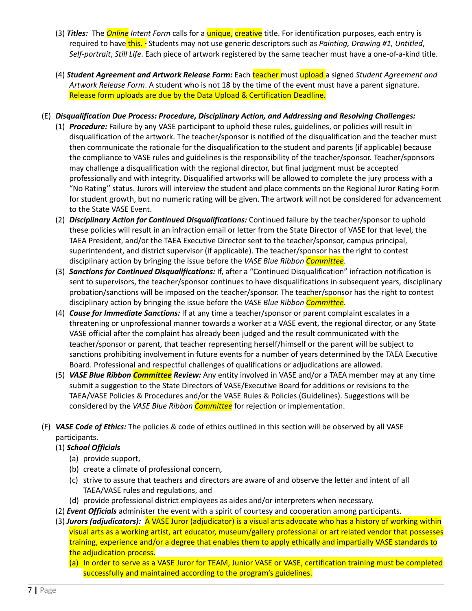- (3) *Titles:* The *Online Intent Form* calls for a unique, creative title. For identification purposes, each entry is required to have this. - Students may not use generic descriptors such as *Painting, Drawing #1, Untitled*, *Self-portrait*, *Still Life*. Each piece of artwork registered by the same teacher must have a one-of-a-kind title.
- (4) *Student Agreement and Artwork Release Form:* Each teacher must upload a signed *Student Agreement and Artwork Release Form*. A student who is not 18 by the time of the event must have a parent signature. Release form uploads are due by the Data Upload & Certification Deadline.
- (E) *Disqualification Due Process: Procedure, Disciplinary Action, and Addressing and Resolving Challenges:*
	- (1) *Procedure:* Failure by any VASE participant to uphold these rules, guidelines, or policies will result in disqualification of the artwork. The teacher/sponsor is notified of the disqualification and the teacher must then communicate the rationale for the disqualification to the student and parents (if applicable) because the compliance to VASE rules and guidelines is the responsibility of the teacher/sponsor. Teacher/sponsors may challenge a disqualification with the regional director, but final judgment must be accepted professionally and with integrity. Disqualified artworks will be allowed to complete the jury process with a "No Rating" status. Jurors will interview the student and place comments on the Regional Juror Rating Form for student growth, but no numeric rating will be given. The artwork will not be considered for advancement to the State VASE Event.
	- (2) *Disciplinary Action for Continued Disqualifications:* Continued failure by the teacher/sponsor to uphold these policies will result in an infraction email or letter from the State Director of VASE for that level, the TAEA President, and/or the TAEA Executive Director sent to the teacher/sponsor, campus principal, superintendent, and district supervisor (if applicable). The teacher/sponsor has the right to contest disciplinary action by bringing the issue before the *VASE Blue Ribbon Committee*.
	- (3) *Sanctions for Continued Disqualifications:* If, after a "Continued Disqualification" infraction notification is sent to supervisors, the teacher/sponsor continues to have disqualifications in subsequent years, disciplinary probation/sanctions will be imposed on the teacher/sponsor. The teacher/sponsor has the right to contest disciplinary action by bringing the issue before the *VASE Blue Ribbon Committee*.
	- (4) *Cause for Immediate Sanctions:* If at any time a teacher/sponsor or parent complaint escalates in a threatening or unprofessional manner towards a worker at a VASE event, the regional director, or any State VASE official after the complaint has already been judged and the result communicated with the teacher/sponsor or parent, that teacher representing herself/himself or the parent will be subject to sanctions prohibiting involvement in future events for a number of years determined by the TAEA Executive Board. Professional and respectful challenges of qualifications or adjudications are allowed.
	- (5) *VASE Blue Ribbon Committee Review:* Any entity involved in VASE and/or a TAEA member may at any time submit a suggestion to the State Directors of VASE/Executive Board for additions or revisions to the TAEA/VASE Policies & Procedures and/or the VASE Rules & Policies (Guidelines). Suggestions will be considered by the *VASE Blue Ribbon Committee* for rejection or implementation.
- (F) *VASE Code of Ethics:* The policies & code of ethics outlined in this section will be observed by all VASE participants.

#### (1) *School Officials*

- (a) provide support,
- (b) create a climate of professional concern,
- (c) strive to assure that teachers and directors are aware of and observe the letter and intent of all TAEA/VASE rules and regulations, and
- (d) provide professional district employees as aides and/or interpreters when necessary.
- (2) *Event Officials* administer the event with a spirit of courtesy and cooperation among participants.
- (3) *Jurors (adjudicators):* A VASE Juror (adjudicator) is a visual arts advocate who has a history of working within visual arts as a working artist, art educator, museum/gallery professional or art related vendor that possesses training, experience and/or a degree that enables them to apply ethically and impartially VASE standards to the adjudication process.
	- (a) In order to serve as a VASE Juror for TEAM, Junior VASE or VASE, certification training must be completed successfully and maintained according to the program's guidelines.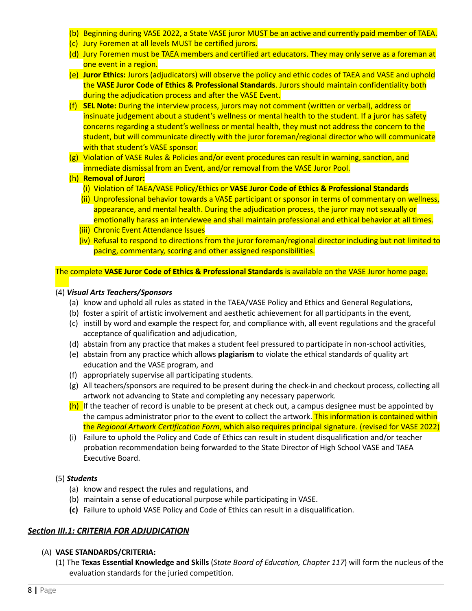- (b) Beginning during VASE 2022, a State VASE juror MUST be an active and currently paid member of TAEA.
- (c) Jury Foremen at all levels MUST be certified jurors.
- (d) Jury Foremen must be TAEA members and certified art educators. They may only serve as a foreman at one event in a region.
- (e) **Jur[o](https://docs.google.com/document/d/18L7ysrEVsKqdRTyOwVFP-i4q3PJrTRSTxfBjPbLr5hM/edit?usp=sharing)r Ethics:** Jurors (adjudicators) will observe the policy and ethic codes of TAEA and VASE and uphold the **VASE Juror Code of Ethics & Professional Standards**. Jurors should maintain confidentiality both during the adjudication process and after the VASE Event.
- (f) **SEL Note:** During the interview process, jurors may not comment (written or verbal), address or insinuate judgement about a student's wellness or mental health to the student. If a juror has safety concerns regarding a student's wellness or mental health, they must not address the concern to the student, but will communicate directly with the juror foreman/regional director who will communicate with that student's VASE sponsor.
- (g) Violation of VASE Rules & Policies and/or event procedures can result in warning, sanction, and immediate dismissal from an Event, and/or removal from the VASE Juror Pool.
- (h) **Removal of Juror:**
	- (i) Violation of TAEA/VASE Policy/Ethics or **VASE Juror Code of Ethics & Professional Standards**
	- (ii) Unprofessional behavior towards a VASE participant or sponsor in terms of commentary on wellness, appearance, and mental health. During the adjudication process, the juror may not sexually or emotionally harass an interviewee and shall maintain professional and ethical behavior at all times.
	- (iii) Chronic Event Attendance Issues
	- (iv) Refusal to respond to directions from the juror foreman/regional director including but not limited to pacing, commentary, scoring and other assigned responsibilities.

#### The complete **VASE Juror Code of Ethics & Professional Standards** is available on the VASE Juror home page.

#### (4) *Visual Arts Teachers/Sponsors*

- (a) know and uphold all rules as stated in the TAEA/VASE Policy and Ethics and General Regulations,
- (b) foster a spirit of artistic involvement and aesthetic achievement for all participants in the event,
- (c) instill by word and example the respect for, and compliance with, all event regulations and the graceful acceptance of qualification and adjudication,
- (d) abstain from any practice that makes a student feel pressured to participate in non-school activities,
- (e) abstain from any practice which allows **plagiarism** to violate the ethical standards of quality art education and the VASE program, and
- (f) appropriately supervise all participating students.
- (g) All teachers/sponsors are required to be present during the check-in and checkout process, collecting all artwork not advancing to State and completing any necessary paperwork.
- (h) If the teacher of record is unable to be present at check out, a campus designee must be appointed by the campus administrator prior to the event to collect the artwork. This information is contained within the *Regional Artwork Certification Form*, which also requires principal signature. (revised for VASE 2022)
- (i) Failure to uphold the Policy and Code of Ethics can result in student disqualification and/or teacher probation recommendation being forwarded to the State Director of High School VASE and TAEA Executive Board.

#### (5) *Students*

- (a) know and respect the rules and regulations, and
- (b) maintain a sense of educational purpose while participating in VASE.
- **(c)** Failure to uphold VASE Policy and Code of Ethics can result in a disqualification.

#### *Section III.1: CRITERIA FOR ADJUDICATION*

#### (A) **VASE STANDARDS/CRITERIA:**

(1) The **Texas Essential Knowledge and Skills** (*State Board of Education, Chapter 117*) will form the nucleus of the evaluation standards for the juried competition.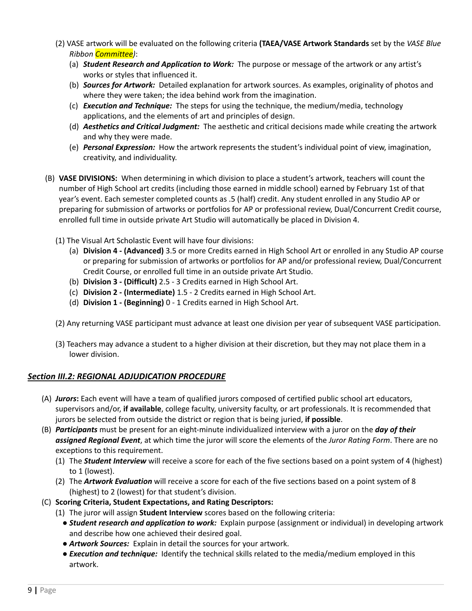- (2) VASE artwork will be evaluated on the following criteria **(TAEA/VASE Artwork Standards** set by the *VASE Blue Ribbon Committee)*:
	- (a) *Student Research and Application to Work:* The purpose or message of the artwork or any artist's works or styles that influenced it.
	- (b) *Sources for Artwork:* Detailed explanation for artwork sources. As examples, originality of photos and where they were taken; the idea behind work from the imagination.
	- (c) *Execution and Technique:* The steps for using the technique, the medium/media, technology applications, and the elements of art and principles of design.
	- (d) *Aesthetics and Critical Judgment:* The aesthetic and critical decisions made while creating the artwork and why they were made.
	- (e) *Personal Expression:* How the artwork represents the student's individual point of view, imagination, creativity, and individuality.
- (B) **VASE DIVISIONS:** When determining in which division to place a student's artwork, teachers will count the number of High School art credits (including those earned in middle school) earned by February 1st of that year's event. Each semester completed counts as .5 (half) credit. Any student enrolled in any Studio AP or preparing for submission of artworks or portfolios for AP or professional review, Dual/Concurrent Credit course, enrolled full time in outside private Art Studio will automatically be placed in Division 4.
	- (1) The Visual Art Scholastic Event will have four divisions:
		- (a) **Division 4 - (Advanced)** 3.5 or more Credits earned in High School Art or enrolled in any Studio AP course or preparing for submission of artworks or portfolios for AP and/or professional review, Dual/Concurrent Credit Course, or enrolled full time in an outside private Art Studio.
		- (b) **Division 3 - (Difficult)** 2.5 3 Credits earned in High School Art.
		- (c) **Division 2 - (Intermediate)** 1.5 2 Credits earned in High School Art.
		- (d) **Division 1 - (Beginning)** 0 1 Credits earned in High School Art.
	- (2) Any returning VASE participant must advance at least one division per year of subsequent VASE participation.
	- (3) Teachers may advance a student to a higher division at their discretion, but they may not place them in a lower division.

#### *Section III.2: REGIONAL ADJUDICATION PROCEDURE*

- (A) *Jurors***:** Each event will have a team of qualified jurors composed of certified public school art educators, supervisors and/or, **if available**, college faculty, university faculty, or art professionals. It is recommended that jurors be selected from outside the district or region that is being juried, **if possible**.
- (B) *Participants* must be present for an eight-minute individualized interview with a juror on the *day of their assigned Regional Event*, at which time the juror will score the elements of the *Juror Rating Form*. There are no exceptions to this requirement.
	- (1) The *Student Interview* will receive a score for each of the five sections based on a point system of 4 (highest) to 1 (lowest).
	- (2) The *Artwork Evaluation* will receive a score for each of the five sections based on a point system of 8 (highest) to 2 (lowest) for that student's division.
- (C) **Scoring Criteria, Student Expectations, and Rating Descriptors:**
	- (1) The juror will assign **Student Interview** scores based on the following criteria:
		- *Student research and application to work:* Explain purpose (assignment or individual) in developing artwork and describe how one achieved their desired goal.
		- *Artwork Sources:* Explain in detail the sources for your artwork.
		- *Execution and technique:* Identify the technical skills related to the media/medium employed in this artwork.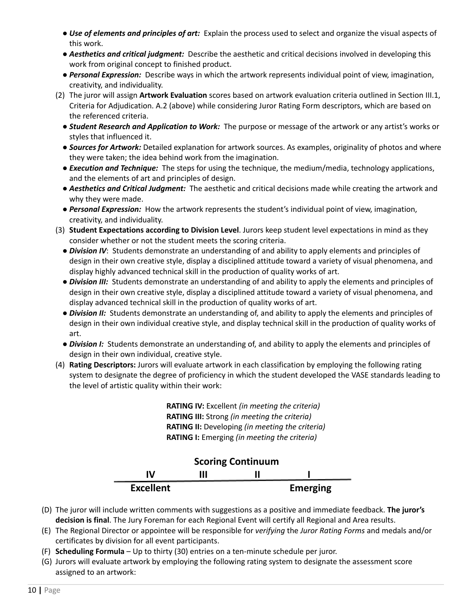- *Use of elements and principles of art:* Explain the process used to select and organize the visual aspects of this work.
- *Aesthetics and critical judgment:* Describe the aesthetic and critical decisions involved in developing this work from original concept to finished product.
- *Personal Expression:* Describe ways in which the artwork represents individual point of view, imagination, creativity, and individuality.
- (2) The juror will assign **Artwork Evaluation** scores based on artwork evaluation criteria outlined in Section III.1, Criteria for Adjudication. A.2 (above) while considering Juror Rating Form descriptors, which are based on the referenced criteria.
	- *Student Research and Application to Work:* The purpose or message of the artwork or any artist's works or styles that influenced it.
	- *Sources for Artwork:* Detailed explanation for artwork sources. As examples, originality of photos and where they were taken; the idea behind work from the imagination.
	- *Execution and Technique:* The steps for using the technique, the medium/media, technology applications, and the elements of art and principles of design.
	- *Aesthetics and Critical Judgment:* The aesthetic and critical decisions made while creating the artwork and why they were made.
	- *Personal Expression:* How the artwork represents the student's individual point of view, imagination, creativity, and individuality.
- (3) **Student Expectations according to Division Level**. Jurors keep student level expectations in mind as they consider whether or not the student meets the scoring criteria.
	- *Division IV*: Students demonstrate an understanding of and ability to apply elements and principles of design in their own creative style, display a disciplined attitude toward a variety of visual phenomena, and display highly advanced technical skill in the production of quality works of art.
	- *Division III:* Students demonstrate an understanding of and ability to apply the elements and principles of design in their own creative style, display a disciplined attitude toward a variety of visual phenomena, and display advanced technical skill in the production of quality works of art.
	- *Division II:* Students demonstrate an understanding of, and ability to apply the elements and principles of design in their own individual creative style, and display technical skill in the production of quality works of art.
	- *Division I:* Students demonstrate an understanding of, and ability to apply the elements and principles of design in their own individual, creative style.
- (4) **Rating Descriptors:** Jurors will evaluate artwork in each classification by employing the following rating system to designate the degree of proficiency in which the student developed the VASE standards leading to the level of artistic quality within their work:

**RATING IV:** Excellent *(in meeting the criteria)* **RATING III:** Strong *(in meeting the criteria)* **RATING II:** Developing *(in meeting the criteria)* **RATING I:** Emerging *(in meeting the criteria)*



- (D) The juror will include written comments with suggestions as a positive and immediate feedback. **The juror's decision is final**. The Jury Foreman for each Regional Event will certify all Regional and Area results.
- (E) The Regional Director or appointee will be responsible for *verifying* the *Juror Rating Forms* and medals and/or certificates by division for all event participants.
- (F) **Scheduling Formula** Up to thirty (30) entries on a ten-minute schedule per juror.
- (G) Jurors will evaluate artwork by employing the following rating system to designate the assessment score assigned to an artwork: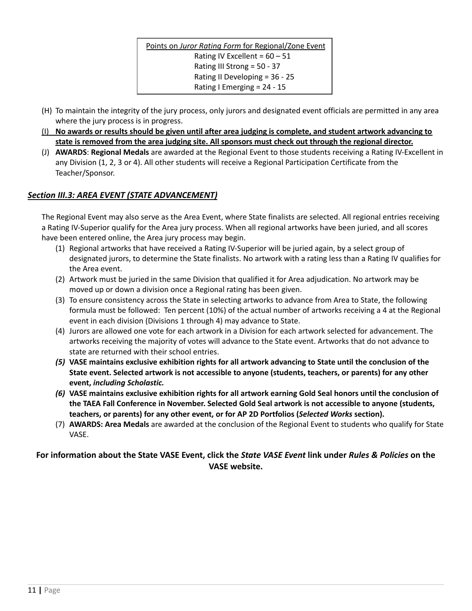Points on *Juror Rating Form* for Regional/Zone Event Rating IV Excellent =  $60 - 51$ Rating III Strong = 50 - 37 Rating II Developing = 36 - 25 Rating I Emerging = 24 - 15

- (H) To maintain the integrity of the jury process, only jurors and designated event officials are permitted in any area where the jury process is in progress.
- (I) No awards or results should be given until after area judging is complete, and student artwork advancing to **state is removed from the area judging site. All sponsors must check out through the regional director.**
- (J) **AWARDS**: **Regional Medals** are awarded at the Regional Event to those students receiving a Rating IV-Excellent in any Division (1, 2, 3 or 4). All other students will receive a Regional Participation Certificate from the Teacher/Sponsor.

# *Section III.3: AREA EVENT (STATE ADVANCEMENT)*

The Regional Event may also serve as the Area Event, where State finalists are selected. All regional entries receiving a Rating IV-Superior qualify for the Area jury process. When all regional artworks have been juried, and all scores have been entered online, the Area jury process may begin.

- (1) Regional artworks that have received a Rating IV-Superior will be juried again, by a select group of designated jurors, to determine the State finalists. No artwork with a rating less than a Rating IV qualifies for the Area event.
- (2) Artwork must be juried in the same Division that qualified it for Area adjudication. No artwork may be moved up or down a division once a Regional rating has been given.
- (3) To ensure consistency across the State in selecting artworks to advance from Area to State, the following formula must be followed: Ten percent (10%) of the actual number of artworks receiving a 4 at the Regional event in each division (Divisions 1 through 4) may advance to State.
- (4) Jurors are allowed one vote for each artwork in a Division for each artwork selected for advancement. The artworks receiving the majority of votes will advance to the State event. Artworks that do not advance to state are returned with their school entries.
- (5) VASE maintains exclusive exhibition rights for all artwork advancing to State until the conclusion of the **State event. Selected artwork is not accessible to anyone (students, teachers, or parents) for any other event,** *including Scholastic.*
- (6) VASE maintains exclusive exhibition rights for all artwork earning Gold Seal honors until the conclusion of **the TAEA Fall Conference in November. Selected Gold Seal artwork is not accessible to anyone (students, teachers, or parents) for any other event, or for AP 2D Portfolios (***Selected Works* **section).**
- (7) **AWARDS: Area Medals** are awarded at the conclusion of the Regional Event to students who qualify for State VASE.

**For information about the State VASE Event, click the** *State VASE Event* **link under** *Rules & Policies* **on the VASE website.**